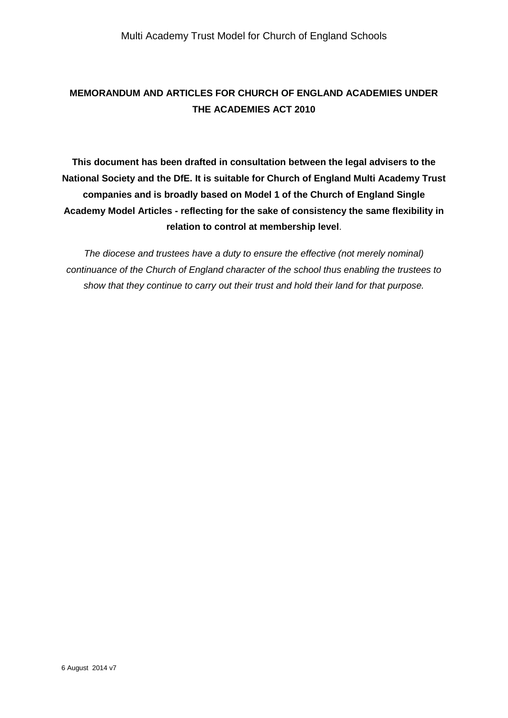# **MEMORANDUM AND ARTICLES FOR CHURCH OF ENGLAND ACADEMIES UNDER THE ACADEMIES ACT 2010**

**This document has been drafted in consultation between the legal advisers to the National Society and the DfE. It is suitable for Church of England Multi Academy Trust companies and is broadly based on Model 1 of the Church of England Single Academy Model Articles - reflecting for the sake of consistency the same flexibility in relation to control at membership level**.

*The diocese and trustees have a duty to ensure the effective (not merely nominal) continuance of the Church of England character of the school thus enabling the trustees to show that they continue to carry out their trust and hold their land for that purpose.*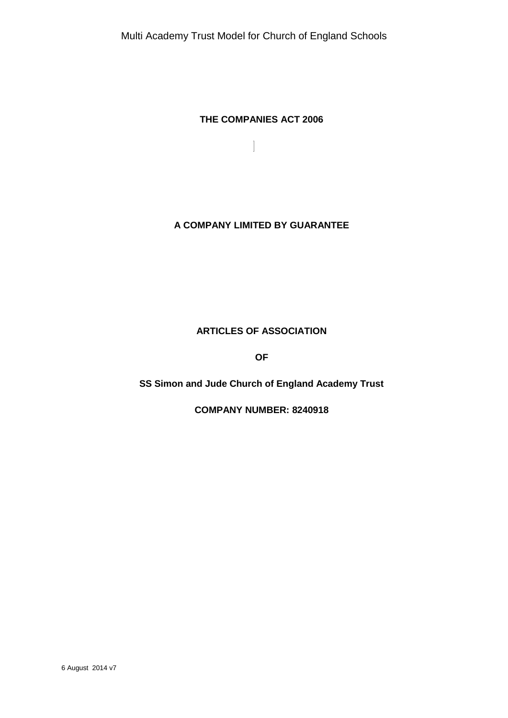# **THE COMPANIES ACT 2006**

 $\overline{\phantom{a}}$ 

# **A COMPANY LIMITED BY GUARANTEE**

# **ARTICLES OF ASSOCIATION**

**OF**

# **SS Simon and Jude Church of England Academy Trust**

**COMPANY NUMBER: 8240918**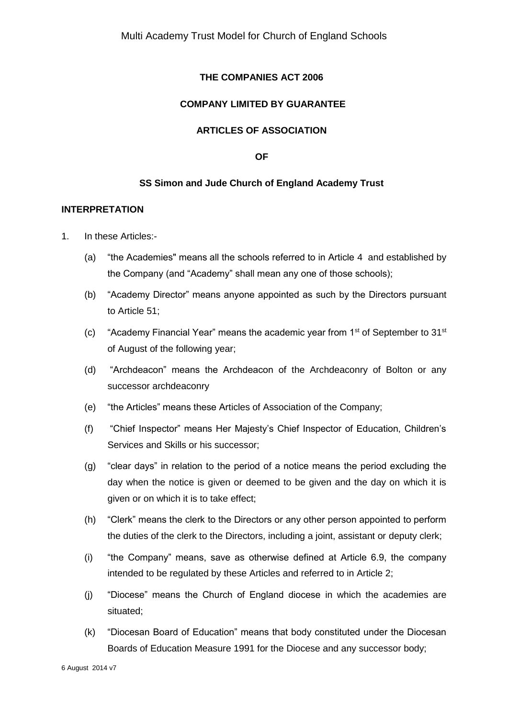### **THE COMPANIES ACT 2006**

### **COMPANY LIMITED BY GUARANTEE**

### **ARTICLES OF ASSOCIATION**

#### **OF**

### **SS Simon and Jude Church of England Academy Trust**

#### **INTERPRETATION**

- 1. In these Articles:-
	- (a) "the Academies" means all the schools referred to in Article 4 and established by the Company (and "Academy" shall mean any one of those schools);
	- (b) "Academy Director" means anyone appointed as such by the Directors pursuant to Article 51;
	- (c) "Academy Financial Year" means the academic year from  $1<sup>st</sup>$  of September to  $31<sup>st</sup>$ of August of the following year;
	- (d) "Archdeacon" means the Archdeacon of the Archdeaconry of Bolton or any successor archdeaconry
	- (e) "the Articles" means these Articles of Association of the Company;
	- (f) "Chief Inspector" means Her Majesty's Chief Inspector of Education, Children's Services and Skills or his successor;
	- (g) "clear days" in relation to the period of a notice means the period excluding the day when the notice is given or deemed to be given and the day on which it is given or on which it is to take effect;
	- (h) "Clerk" means the clerk to the Directors or any other person appointed to perform the duties of the clerk to the Directors, including a joint, assistant or deputy clerk;
	- (i) "the Company" means, save as otherwise defined at Article 6.9, the company intended to be regulated by these Articles and referred to in Article 2;
	- (j) "Diocese" means the Church of England diocese in which the academies are situated;
	- (k) "Diocesan Board of Education" means that body constituted under the Diocesan Boards of Education Measure 1991 for the Diocese and any successor body;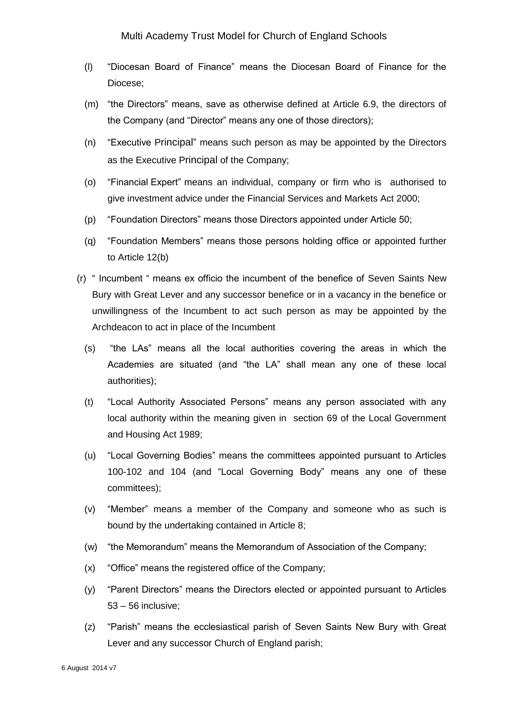- (l) "Diocesan Board of Finance" means the Diocesan Board of Finance for the Diocese;
- (m) "the Directors" means, save as otherwise defined at Article 6.9, the directors of the Company (and "Director" means any one of those directors);
- (n) "Executive Principal" means such person as may be appointed by the Directors as the Executive Principal of the Company;
- (o) "Financial Expert" means an individual, company or firm who is authorised to give investment advice under the Financial Services and Markets Act 2000;
- (p) "Foundation Directors" means those Directors appointed under Article 50;
- (q) "Foundation Members" means those persons holding office or appointed further to Article 12(b)
- (r) " Incumbent " means ex officio the incumbent of the benefice of Seven Saints New Bury with Great Lever and any successor benefice or in a vacancy in the benefice or unwillingness of the Incumbent to act such person as may be appointed by the Archdeacon to act in place of the Incumbent
	- (s) "the LAs" means all the local authorities covering the areas in which the Academies are situated (and "the LA" shall mean any one of these local authorities);
	- (t) "Local Authority Associated Persons" means any person associated with any local authority within the meaning given in section 69 of the Local Government and Housing Act 1989;
	- (u) "Local Governing Bodies" means the committees appointed pursuant to Articles 100-102 and 104 (and "Local Governing Body" means any one of these committees);
	- (v) "Member" means a member of the Company and someone who as such is bound by the undertaking contained in Article 8;
	- (w) "the Memorandum" means the Memorandum of Association of the Company;
	- (x) "Office" means the registered office of the Company;
	- (y) "Parent Directors" means the Directors elected or appointed pursuant to Articles 53 – 56 inclusive;
	- (z) "Parish" means the ecclesiastical parish of Seven Saints New Bury with Great Lever and any successor Church of England parish;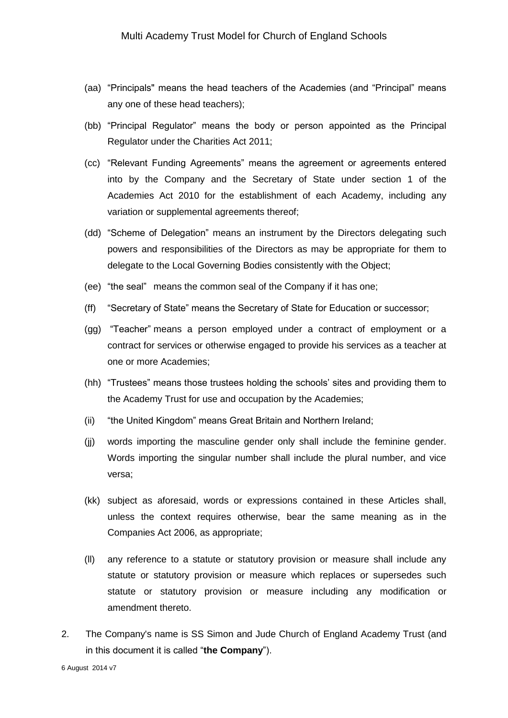- (aa) "Principals" means the head teachers of the Academies (and "Principal" means any one of these head teachers);
- (bb) "Principal Regulator" means the body or person appointed as the Principal Regulator under the Charities Act 2011;
- (cc) "Relevant Funding Agreements" means the agreement or agreements entered into by the Company and the Secretary of State under section 1 of the Academies Act 2010 for the establishment of each Academy, including any variation or supplemental agreements thereof;
- (dd) "Scheme of Delegation" means an instrument by the Directors delegating such powers and responsibilities of the Directors as may be appropriate for them to delegate to the Local Governing Bodies consistently with the Object;
- (ee) "the seal" means the common seal of the Company if it has one;
- (ff) "Secretary of State" means the Secretary of State for Education or successor;
- (gg) "Teacher" means a person employed under a contract of employment or a contract for services or otherwise engaged to provide his services as a teacher at one or more Academies;
- (hh) "Trustees" means those trustees holding the schools' sites and providing them to the Academy Trust for use and occupation by the Academies;
- (ii) "the United Kingdom" means Great Britain and Northern Ireland;
- (jj) words importing the masculine gender only shall include the feminine gender. Words importing the singular number shall include the plural number, and vice versa;
- (kk) subject as aforesaid, words or expressions contained in these Articles shall, unless the context requires otherwise, bear the same meaning as in the Companies Act 2006, as appropriate;
- (ll) any reference to a statute or statutory provision or measure shall include any statute or statutory provision or measure which replaces or supersedes such statute or statutory provision or measure including any modification or amendment thereto.
- 2. The Company's name is SS Simon and Jude Church of England Academy Trust (and in this document it is called "**the Company**").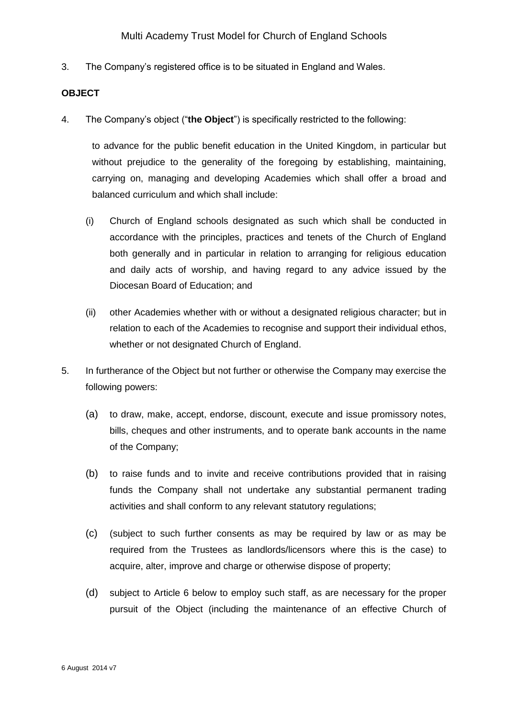3. The Company's registered office is to be situated in England and Wales.

#### **OBJECT**

4. The Company's object ("**the Object**") is specifically restricted to the following:

to advance for the public benefit education in the United Kingdom, in particular but without prejudice to the generality of the foregoing by establishing, maintaining, carrying on, managing and developing Academies which shall offer a broad and balanced curriculum and which shall include:

- (i) Church of England schools designated as such which shall be conducted in accordance with the principles, practices and tenets of the Church of England both generally and in particular in relation to arranging for religious education and daily acts of worship, and having regard to any advice issued by the Diocesan Board of Education; and
- (ii) other Academies whether with or without a designated religious character; but in relation to each of the Academies to recognise and support their individual ethos, whether or not designated Church of England.
- 5. In furtherance of the Object but not further or otherwise the Company may exercise the following powers:
	- (a) to draw, make, accept, endorse, discount, execute and issue promissory notes, bills, cheques and other instruments, and to operate bank accounts in the name of the Company;
	- (b) to raise funds and to invite and receive contributions provided that in raising funds the Company shall not undertake any substantial permanent trading activities and shall conform to any relevant statutory regulations;
	- (c) (subject to such further consents as may be required by law or as may be required from the Trustees as landlords/licensors where this is the case) to acquire, alter, improve and charge or otherwise dispose of property;
	- (d) subject to Article 6 below to employ such staff, as are necessary for the proper pursuit of the Object (including the maintenance of an effective Church of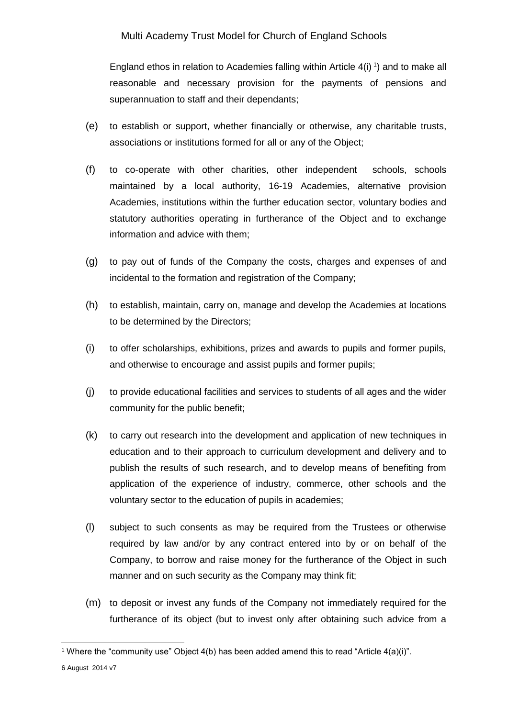England ethos in relation to Academies falling within Article  $4(i)$ <sup>1</sup>) and to make all reasonable and necessary provision for the payments of pensions and superannuation to staff and their dependants;

- (e) to establish or support, whether financially or otherwise, any charitable trusts, associations or institutions formed for all or any of the Object;
- (f) to co-operate with other charities, other independent schools, schools maintained by a local authority, 16-19 Academies, alternative provision Academies, institutions within the further education sector, voluntary bodies and statutory authorities operating in furtherance of the Object and to exchange information and advice with them;
- (g) to pay out of funds of the Company the costs, charges and expenses of and incidental to the formation and registration of the Company;
- (h) to establish, maintain, carry on, manage and develop the Academies at locations to be determined by the Directors;
- (i) to offer scholarships, exhibitions, prizes and awards to pupils and former pupils, and otherwise to encourage and assist pupils and former pupils;
- (j) to provide educational facilities and services to students of all ages and the wider community for the public benefit;
- (k) to carry out research into the development and application of new techniques in education and to their approach to curriculum development and delivery and to publish the results of such research, and to develop means of benefiting from application of the experience of industry, commerce, other schools and the voluntary sector to the education of pupils in academies;
- (l) subject to such consents as may be required from the Trustees or otherwise required by law and/or by any contract entered into by or on behalf of the Company, to borrow and raise money for the furtherance of the Object in such manner and on such security as the Company may think fit;
- (m) to deposit or invest any funds of the Company not immediately required for the furtherance of its object (but to invest only after obtaining such advice from a

1

<sup>&</sup>lt;sup>1</sup> Where the "community use" Object  $4(b)$  has been added amend this to read "Article  $4(a)(i)$ ".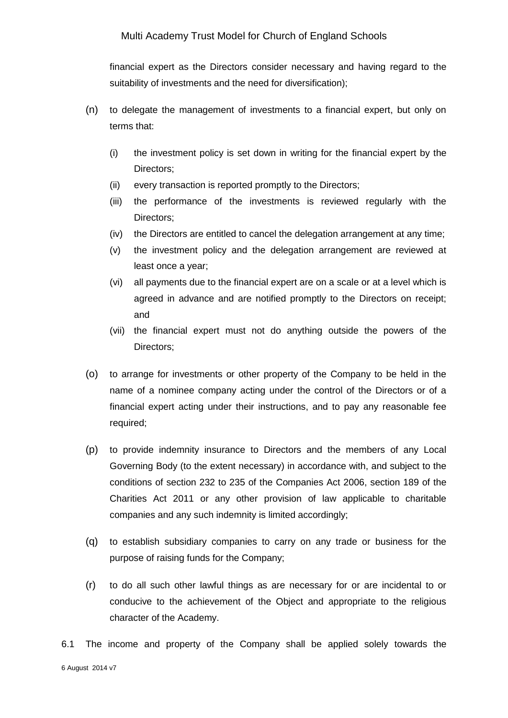financial expert as the Directors consider necessary and having regard to the suitability of investments and the need for diversification);

- (n) to delegate the management of investments to a financial expert, but only on terms that:
	- (i) the investment policy is set down in writing for the financial expert by the Directors;
	- (ii) every transaction is reported promptly to the Directors;
	- (iii) the performance of the investments is reviewed regularly with the Directors;
	- (iv) the Directors are entitled to cancel the delegation arrangement at any time;
	- (v) the investment policy and the delegation arrangement are reviewed at least once a year;
	- (vi) all payments due to the financial expert are on a scale or at a level which is agreed in advance and are notified promptly to the Directors on receipt; and
	- (vii) the financial expert must not do anything outside the powers of the Directors;
- (o) to arrange for investments or other property of the Company to be held in the name of a nominee company acting under the control of the Directors or of a financial expert acting under their instructions, and to pay any reasonable fee required;
- (p) to provide indemnity insurance to Directors and the members of any Local Governing Body (to the extent necessary) in accordance with, and subject to the conditions of section 232 to 235 of the Companies Act 2006, section 189 of the Charities Act 2011 or any other provision of law applicable to charitable companies and any such indemnity is limited accordingly;
- (q) to establish subsidiary companies to carry on any trade or business for the purpose of raising funds for the Company;
- (r) to do all such other lawful things as are necessary for or are incidental to or conducive to the achievement of the Object and appropriate to the religious character of the Academy.

6 August 2014 v7 6.1 The income and property of the Company shall be applied solely towards the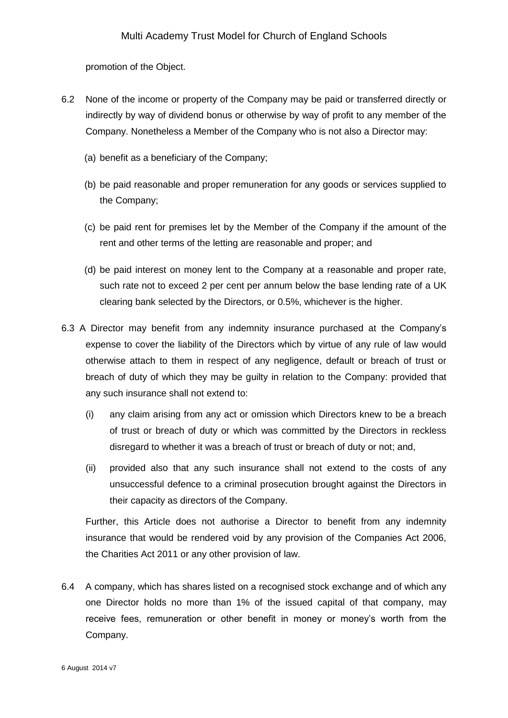promotion of the Object.

- 6.2 None of the income or property of the Company may be paid or transferred directly or indirectly by way of dividend bonus or otherwise by way of profit to any member of the Company. Nonetheless a Member of the Company who is not also a Director may:
	- (a) benefit as a beneficiary of the Company;
	- (b) be paid reasonable and proper remuneration for any goods or services supplied to the Company;
	- (c) be paid rent for premises let by the Member of the Company if the amount of the rent and other terms of the letting are reasonable and proper; and
	- (d) be paid interest on money lent to the Company at a reasonable and proper rate, such rate not to exceed 2 per cent per annum below the base lending rate of a UK clearing bank selected by the Directors, or 0.5%, whichever is the higher.
- 6.3 A Director may benefit from any indemnity insurance purchased at the Company's expense to cover the liability of the Directors which by virtue of any rule of law would otherwise attach to them in respect of any negligence, default or breach of trust or breach of duty of which they may be guilty in relation to the Company: provided that any such insurance shall not extend to:
	- (i) any claim arising from any act or omission which Directors knew to be a breach of trust or breach of duty or which was committed by the Directors in reckless disregard to whether it was a breach of trust or breach of duty or not; and,
	- (ii) provided also that any such insurance shall not extend to the costs of any unsuccessful defence to a criminal prosecution brought against the Directors in their capacity as directors of the Company.

Further, this Article does not authorise a Director to benefit from any indemnity insurance that would be rendered void by any provision of the Companies Act 2006, the Charities Act 2011 or any other provision of law.

6.4 A company, which has shares listed on a recognised stock exchange and of which any one Director holds no more than 1% of the issued capital of that company, may receive fees, remuneration or other benefit in money or money's worth from the Company.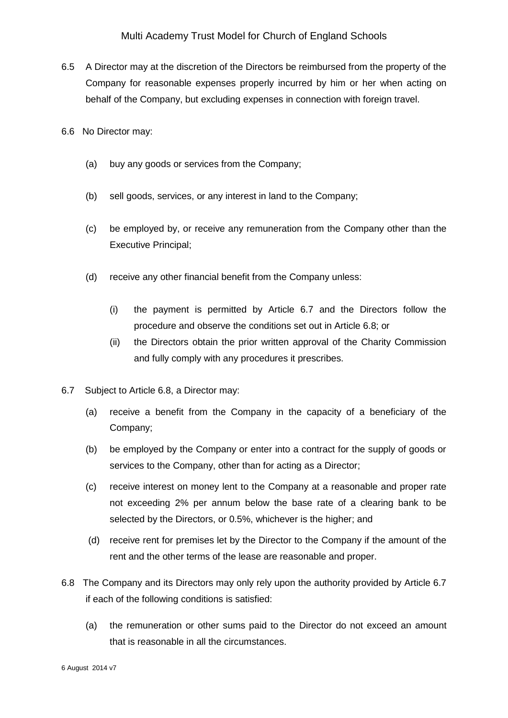- 6.5 A Director may at the discretion of the Directors be reimbursed from the property of the Company for reasonable expenses properly incurred by him or her when acting on behalf of the Company, but excluding expenses in connection with foreign travel.
- 6.6 No Director may:
	- (a) buy any goods or services from the Company;
	- (b) sell goods, services, or any interest in land to the Company;
	- (c) be employed by, or receive any remuneration from the Company other than the Executive Principal;
	- (d) receive any other financial benefit from the Company unless:
		- (i) the payment is permitted by Article 6.7 and the Directors follow the procedure and observe the conditions set out in Article 6.8; or
		- (ii) the Directors obtain the prior written approval of the Charity Commission and fully comply with any procedures it prescribes.
- 6.7 Subject to Article 6.8, a Director may:
	- (a) receive a benefit from the Company in the capacity of a beneficiary of the Company;
	- (b) be employed by the Company or enter into a contract for the supply of goods or services to the Company, other than for acting as a Director;
	- (c) receive interest on money lent to the Company at a reasonable and proper rate not exceeding 2% per annum below the base rate of a clearing bank to be selected by the Directors, or 0.5%, whichever is the higher; and
	- (d) receive rent for premises let by the Director to the Company if the amount of the rent and the other terms of the lease are reasonable and proper.
- 6.8 The Company and its Directors may only rely upon the authority provided by Article 6.7 if each of the following conditions is satisfied:
	- (a) the remuneration or other sums paid to the Director do not exceed an amount that is reasonable in all the circumstances.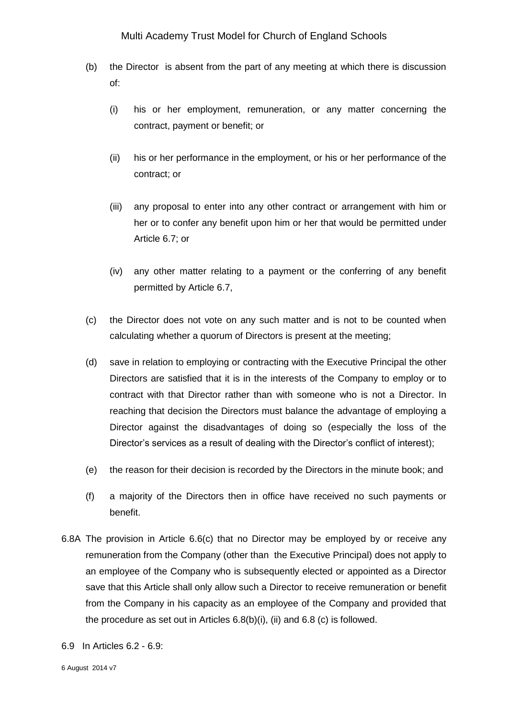- (b) the Director is absent from the part of any meeting at which there is discussion of:
	- (i) his or her employment, remuneration, or any matter concerning the contract, payment or benefit; or
	- (ii) his or her performance in the employment, or his or her performance of the contract; or
	- (iii) any proposal to enter into any other contract or arrangement with him or her or to confer any benefit upon him or her that would be permitted under Article 6.7; or
	- (iv) any other matter relating to a payment or the conferring of any benefit permitted by Article 6.7,
- (c) the Director does not vote on any such matter and is not to be counted when calculating whether a quorum of Directors is present at the meeting;
- (d) save in relation to employing or contracting with the Executive Principal the other Directors are satisfied that it is in the interests of the Company to employ or to contract with that Director rather than with someone who is not a Director. In reaching that decision the Directors must balance the advantage of employing a Director against the disadvantages of doing so (especially the loss of the Director's services as a result of dealing with the Director's conflict of interest);
- (e) the reason for their decision is recorded by the Directors in the minute book; and
- (f) a majority of the Directors then in office have received no such payments or benefit.
- 6.8A The provision in Article 6.6(c) that no Director may be employed by or receive any remuneration from the Company (other than the Executive Principal) does not apply to an employee of the Company who is subsequently elected or appointed as a Director save that this Article shall only allow such a Director to receive remuneration or benefit from the Company in his capacity as an employee of the Company and provided that the procedure as set out in Articles 6.8(b)(i), (ii) and 6.8 (c) is followed.
- 6.9 In Articles 6.2 6.9: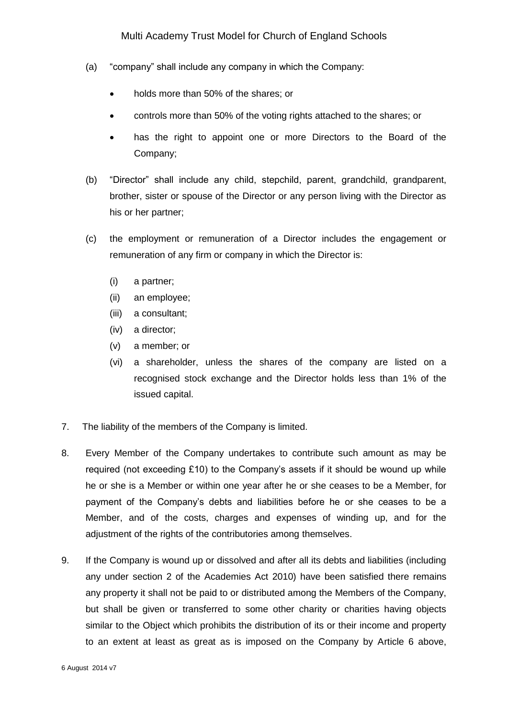- (a) "company" shall include any company in which the Company:
	- holds more than 50% of the shares; or
	- controls more than 50% of the voting rights attached to the shares; or
	- has the right to appoint one or more Directors to the Board of the Company;
- (b) "Director" shall include any child, stepchild, parent, grandchild, grandparent, brother, sister or spouse of the Director or any person living with the Director as his or her partner;
- (c) the employment or remuneration of a Director includes the engagement or remuneration of any firm or company in which the Director is:
	- (i) a partner;
	- (ii) an employee;
	- (iii) a consultant;
	- (iv) a director;
	- (v) a member; or
	- (vi) a shareholder, unless the shares of the company are listed on a recognised stock exchange and the Director holds less than 1% of the issued capital.
- 7. The liability of the members of the Company is limited.
- 8. Every Member of the Company undertakes to contribute such amount as may be required (not exceeding £10) to the Company's assets if it should be wound up while he or she is a Member or within one year after he or she ceases to be a Member, for payment of the Company's debts and liabilities before he or she ceases to be a Member, and of the costs, charges and expenses of winding up, and for the adjustment of the rights of the contributories among themselves.
- 9. If the Company is wound up or dissolved and after all its debts and liabilities (including any under section 2 of the Academies Act 2010) have been satisfied there remains any property it shall not be paid to or distributed among the Members of the Company, but shall be given or transferred to some other charity or charities having objects similar to the Object which prohibits the distribution of its or their income and property to an extent at least as great as is imposed on the Company by Article 6 above,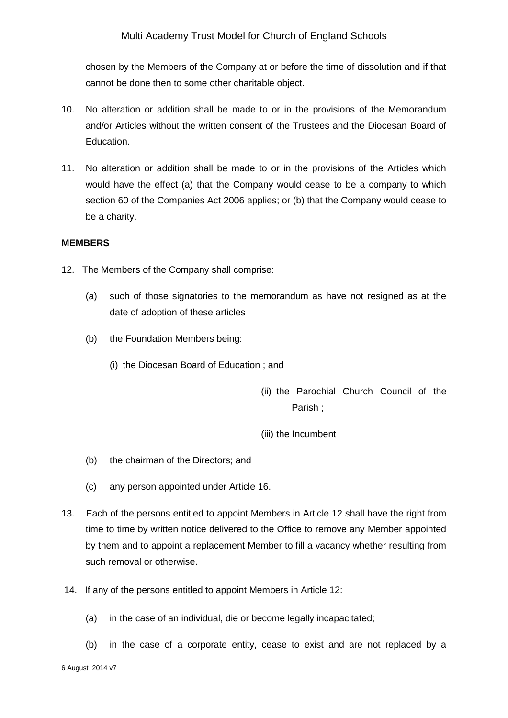chosen by the Members of the Company at or before the time of dissolution and if that cannot be done then to some other charitable object.

- 10. No alteration or addition shall be made to or in the provisions of the Memorandum and/or Articles without the written consent of the Trustees and the Diocesan Board of Education.
- 11. No alteration or addition shall be made to or in the provisions of the Articles which would have the effect (a) that the Company would cease to be a company to which section 60 of the Companies Act 2006 applies; or (b) that the Company would cease to be a charity.

#### **MEMBERS**

- 12. The Members of the Company shall comprise:
	- (a) such of those signatories to the memorandum as have not resigned as at the date of adoption of these articles
	- (b) the Foundation Members being:
		- (i) the Diocesan Board of Education ; and
			- (ii) the Parochial Church Council of the Parish ;
			- (iii) the Incumbent
	- (b) the chairman of the Directors; and
	- (c) any person appointed under Article 16.
- 13. Each of the persons entitled to appoint Members in Article 12 shall have the right from time to time by written notice delivered to the Office to remove any Member appointed by them and to appoint a replacement Member to fill a vacancy whether resulting from such removal or otherwise.
- 14. If any of the persons entitled to appoint Members in Article 12:
	- (a) in the case of an individual, die or become legally incapacitated;
	- (b) in the case of a corporate entity, cease to exist and are not replaced by a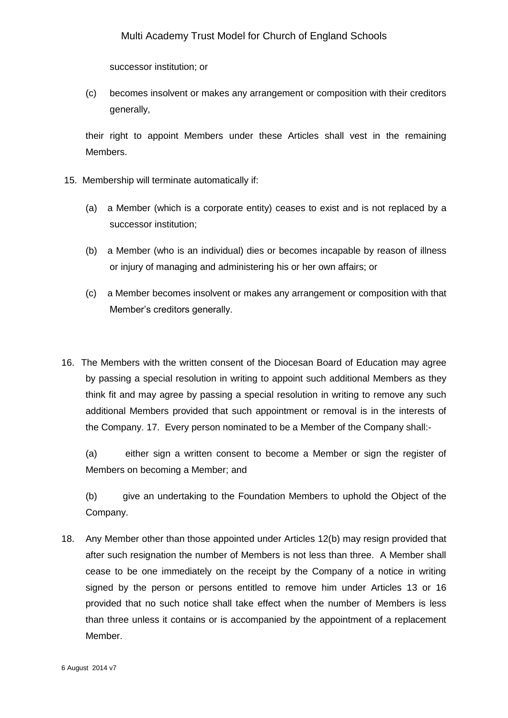successor institution; or

(c) becomes insolvent or makes any arrangement or composition with their creditors generally,

their right to appoint Members under these Articles shall vest in the remaining Members.

- 15. Membership will terminate automatically if:
	- (a) a Member (which is a corporate entity) ceases to exist and is not replaced by a successor institution;
	- (b) a Member (who is an individual) dies or becomes incapable by reason of illness or injury of managing and administering his or her own affairs; or
	- (c) a Member becomes insolvent or makes any arrangement or composition with that Member's creditors generally.
- 16. The Members with the written consent of the Diocesan Board of Education may agree by passing a special resolution in writing to appoint such additional Members as they think fit and may agree by passing a special resolution in writing to remove any such additional Members provided that such appointment or removal is in the interests of the Company. 17. Every person nominated to be a Member of the Company shall:-

(a) either sign a written consent to become a Member or sign the register of Members on becoming a Member; and

(b) give an undertaking to the Foundation Members to uphold the Object of the Company.

18. Any Member other than those appointed under Articles 12(b) may resign provided that after such resignation the number of Members is not less than three. A Member shall cease to be one immediately on the receipt by the Company of a notice in writing signed by the person or persons entitled to remove him under Articles 13 or 16 provided that no such notice shall take effect when the number of Members is less than three unless it contains or is accompanied by the appointment of a replacement Member.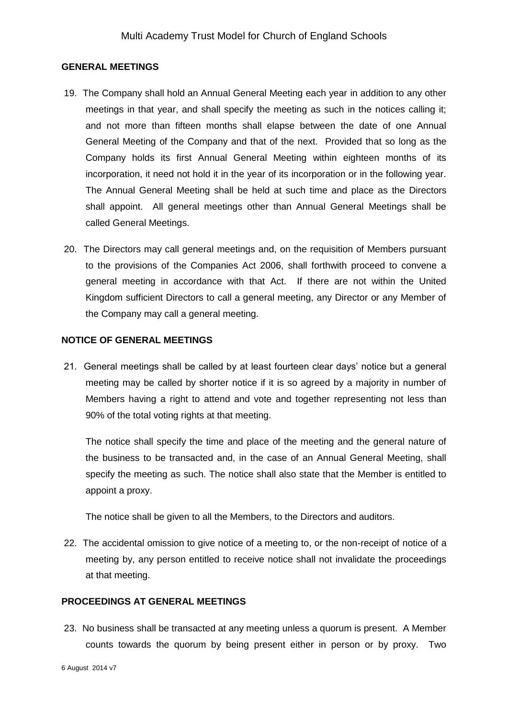#### **GENERAL MEETINGS**

- 19. The Company shall hold an Annual General Meeting each year in addition to any other meetings in that year, and shall specify the meeting as such in the notices calling it; and not more than fifteen months shall elapse between the date of one Annual General Meeting of the Company and that of the next. Provided that so long as the Company holds its first Annual General Meeting within eighteen months of its incorporation, it need not hold it in the year of its incorporation or in the following year. The Annual General Meeting shall be held at such time and place as the Directors shall appoint. All general meetings other than Annual General Meetings shall be called General Meetings.
- 20. The Directors may call general meetings and, on the requisition of Members pursuant to the provisions of the Companies Act 2006, shall forthwith proceed to convene a general meeting in accordance with that Act. If there are not within the United Kingdom sufficient Directors to call a general meeting, any Director or any Member of the Company may call a general meeting.

#### **NOTICE OF GENERAL MEETINGS**

21. General meetings shall be called by at least fourteen clear days' notice but a general meeting may be called by shorter notice if it is so agreed by a majority in number of Members having a right to attend and vote and together representing not less than 90% of the total voting rights at that meeting.

The notice shall specify the time and place of the meeting and the general nature of the business to be transacted and, in the case of an Annual General Meeting, shall specify the meeting as such. The notice shall also state that the Member is entitled to appoint a proxy.

The notice shall be given to all the Members, to the Directors and auditors.

22. The accidental omission to give notice of a meeting to, or the non-receipt of notice of a meeting by, any person entitled to receive notice shall not invalidate the proceedings at that meeting.

### **PROCEEDINGS AT GENERAL MEETINGS**

23. No business shall be transacted at any meeting unless a quorum is present. A Member counts towards the quorum by being present either in person or by proxy. Two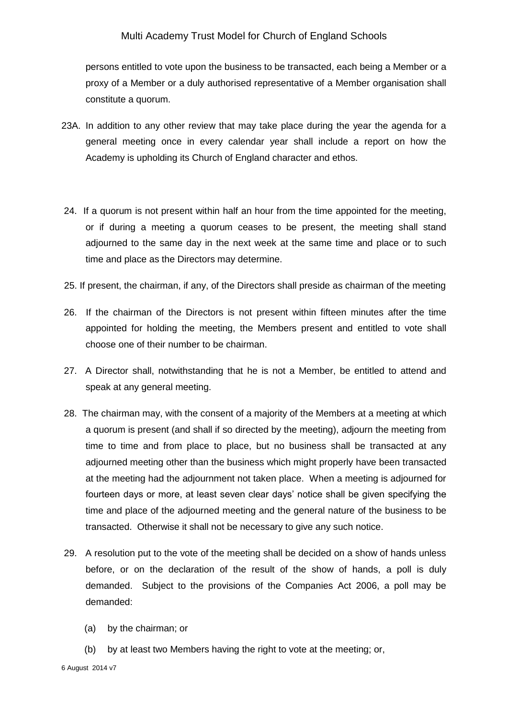persons entitled to vote upon the business to be transacted, each being a Member or a proxy of a Member or a duly authorised representative of a Member organisation shall constitute a quorum.

- 23A. In addition to any other review that may take place during the year the agenda for a general meeting once in every calendar year shall include a report on how the Academy is upholding its Church of England character and ethos.
- 24. If a quorum is not present within half an hour from the time appointed for the meeting, or if during a meeting a quorum ceases to be present, the meeting shall stand adjourned to the same day in the next week at the same time and place or to such time and place as the Directors may determine.
- 25. If present, the chairman, if any, of the Directors shall preside as chairman of the meeting
- 26. If the chairman of the Directors is not present within fifteen minutes after the time appointed for holding the meeting, the Members present and entitled to vote shall choose one of their number to be chairman.
- 27. A Director shall, notwithstanding that he is not a Member, be entitled to attend and speak at any general meeting.
- 28. The chairman may, with the consent of a majority of the Members at a meeting at which a quorum is present (and shall if so directed by the meeting), adjourn the meeting from time to time and from place to place, but no business shall be transacted at any adjourned meeting other than the business which might properly have been transacted at the meeting had the adjournment not taken place. When a meeting is adjourned for fourteen days or more, at least seven clear days' notice shall be given specifying the time and place of the adjourned meeting and the general nature of the business to be transacted. Otherwise it shall not be necessary to give any such notice.
- 29. A resolution put to the vote of the meeting shall be decided on a show of hands unless before, or on the declaration of the result of the show of hands, a poll is duly demanded. Subject to the provisions of the Companies Act 2006, a poll may be demanded:
	- (a) by the chairman; or
	- (b) by at least two Members having the right to vote at the meeting; or,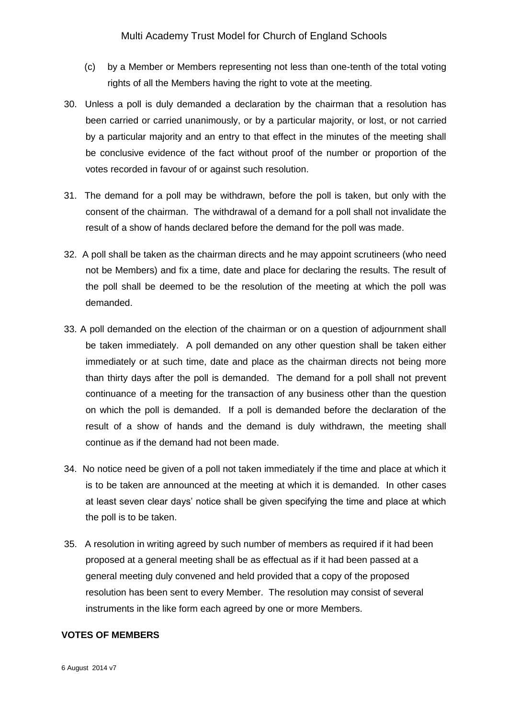- (c) by a Member or Members representing not less than one-tenth of the total voting rights of all the Members having the right to vote at the meeting.
- 30. Unless a poll is duly demanded a declaration by the chairman that a resolution has been carried or carried unanimously, or by a particular majority, or lost, or not carried by a particular majority and an entry to that effect in the minutes of the meeting shall be conclusive evidence of the fact without proof of the number or proportion of the votes recorded in favour of or against such resolution.
- 31. The demand for a poll may be withdrawn, before the poll is taken, but only with the consent of the chairman. The withdrawal of a demand for a poll shall not invalidate the result of a show of hands declared before the demand for the poll was made.
- 32. A poll shall be taken as the chairman directs and he may appoint scrutineers (who need not be Members) and fix a time, date and place for declaring the results. The result of the poll shall be deemed to be the resolution of the meeting at which the poll was demanded.
- 33. A poll demanded on the election of the chairman or on a question of adjournment shall be taken immediately. A poll demanded on any other question shall be taken either immediately or at such time, date and place as the chairman directs not being more than thirty days after the poll is demanded. The demand for a poll shall not prevent continuance of a meeting for the transaction of any business other than the question on which the poll is demanded. If a poll is demanded before the declaration of the result of a show of hands and the demand is duly withdrawn, the meeting shall continue as if the demand had not been made.
- 34. No notice need be given of a poll not taken immediately if the time and place at which it is to be taken are announced at the meeting at which it is demanded. In other cases at least seven clear days' notice shall be given specifying the time and place at which the poll is to be taken.
- 35. A resolution in writing agreed by such number of members as required if it had been proposed at a general meeting shall be as effectual as if it had been passed at a general meeting duly convened and held provided that a copy of the proposed resolution has been sent to every Member. The resolution may consist of several instruments in the like form each agreed by one or more Members.

### **VOTES OF MEMBERS**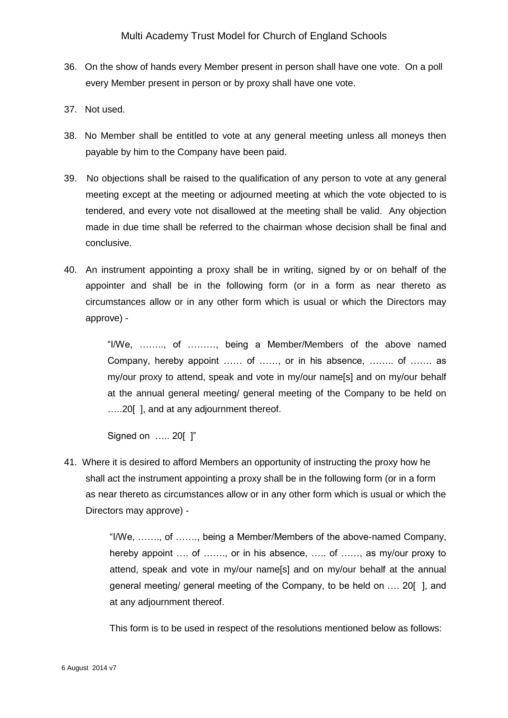- 36. On the show of hands every Member present in person shall have one vote. On a poll every Member present in person or by proxy shall have one vote.
- 37. Not used.
- 38. No Member shall be entitled to vote at any general meeting unless all moneys then payable by him to the Company have been paid.
- 39. No objections shall be raised to the qualification of any person to vote at any general meeting except at the meeting or adjourned meeting at which the vote objected to is tendered, and every vote not disallowed at the meeting shall be valid. Any objection made in due time shall be referred to the chairman whose decision shall be final and conclusive.
- 40. An instrument appointing a proxy shall be in writing, signed by or on behalf of the appointer and shall be in the following form (or in a form as near thereto as circumstances allow or in any other form which is usual or which the Directors may approve) -

"I/We, …….., of ………, being a Member/Members of the above named Company, hereby appoint …… of ……, or in his absence, …….. of ……. as my/our proxy to attend, speak and vote in my/our name[s] and on my/our behalf at the annual general meeting/ general meeting of the Company to be held on …..20[ ], and at any adjournment thereof.

Signed on ….. 20[ ]"

41. Where it is desired to afford Members an opportunity of instructing the proxy how he shall act the instrument appointing a proxy shall be in the following form (or in a form as near thereto as circumstances allow or in any other form which is usual or which the Directors may approve) -

> "I/We, ……., of ……., being a Member/Members of the above-named Company, hereby appoint .... of ......., or in his absence, ..... of ......, as my/our proxy to attend, speak and vote in my/our name[s] and on my/our behalf at the annual general meeting/ general meeting of the Company, to be held on …. 20[ ], and at any adjournment thereof.

This form is to be used in respect of the resolutions mentioned below as follows: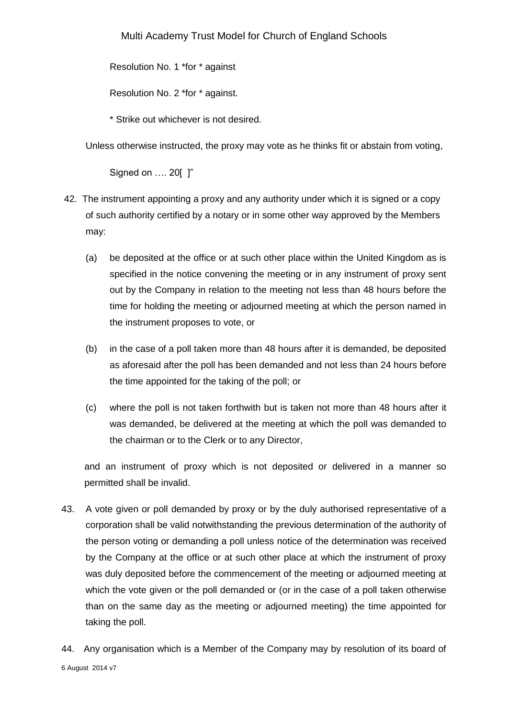Resolution No. 1 \*for \* against

Resolution No. 2 \*for \* against.

\* Strike out whichever is not desired.

Unless otherwise instructed, the proxy may vote as he thinks fit or abstain from voting,

Signed on …. 20[ ]"

- 42. The instrument appointing a proxy and any authority under which it is signed or a copy of such authority certified by a notary or in some other way approved by the Members may:
	- (a) be deposited at the office or at such other place within the United Kingdom as is specified in the notice convening the meeting or in any instrument of proxy sent out by the Company in relation to the meeting not less than 48 hours before the time for holding the meeting or adjourned meeting at which the person named in the instrument proposes to vote, or
	- (b) in the case of a poll taken more than 48 hours after it is demanded, be deposited as aforesaid after the poll has been demanded and not less than 24 hours before the time appointed for the taking of the poll; or
	- (c) where the poll is not taken forthwith but is taken not more than 48 hours after it was demanded, be delivered at the meeting at which the poll was demanded to the chairman or to the Clerk or to any Director,

and an instrument of proxy which is not deposited or delivered in a manner so permitted shall be invalid.

- 43. A vote given or poll demanded by proxy or by the duly authorised representative of a corporation shall be valid notwithstanding the previous determination of the authority of the person voting or demanding a poll unless notice of the determination was received by the Company at the office or at such other place at which the instrument of proxy was duly deposited before the commencement of the meeting or adjourned meeting at which the vote given or the poll demanded or (or in the case of a poll taken otherwise than on the same day as the meeting or adjourned meeting) the time appointed for taking the poll.
- 6 August 2014 v7 44. Any organisation which is a Member of the Company may by resolution of its board of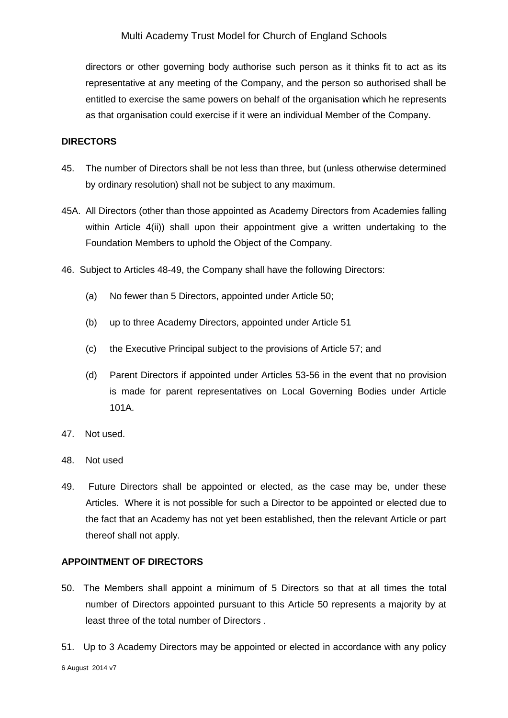directors or other governing body authorise such person as it thinks fit to act as its representative at any meeting of the Company, and the person so authorised shall be entitled to exercise the same powers on behalf of the organisation which he represents as that organisation could exercise if it were an individual Member of the Company.

### **DIRECTORS**

- 45. The number of Directors shall be not less than three, but (unless otherwise determined by ordinary resolution) shall not be subject to any maximum.
- 45A. All Directors (other than those appointed as Academy Directors from Academies falling within Article 4(ii)) shall upon their appointment give a written undertaking to the Foundation Members to uphold the Object of the Company.
- 46. Subject to Articles 48-49, the Company shall have the following Directors:
	- (a) No fewer than 5 Directors, appointed under Article 50;
	- (b) up to three Academy Directors, appointed under Article 51
	- (c) the Executive Principal subject to the provisions of Article 57; and
	- (d) Parent Directors if appointed under Articles 53-56 in the event that no provision is made for parent representatives on Local Governing Bodies under Article 101A.
- 47. Not used.
- 48. Not used
- 49. Future Directors shall be appointed or elected, as the case may be, under these Articles. Where it is not possible for such a Director to be appointed or elected due to the fact that an Academy has not yet been established, then the relevant Article or part thereof shall not apply.

### **APPOINTMENT OF DIRECTORS**

- 50. The Members shall appoint a minimum of 5 Directors so that at all times the total number of Directors appointed pursuant to this Article 50 represents a majority by at least three of the total number of Directors .
- 51. Up to 3 Academy Directors may be appointed or elected in accordance with any policy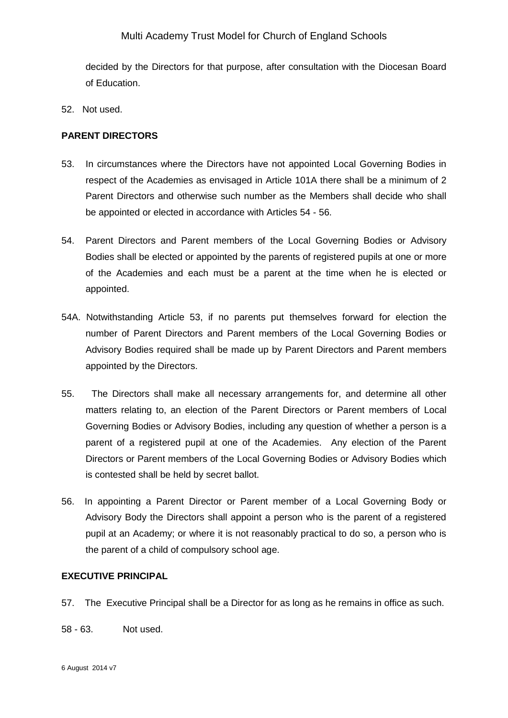decided by the Directors for that purpose, after consultation with the Diocesan Board of Education.

52. Not used.

### **PARENT DIRECTORS**

- 53. In circumstances where the Directors have not appointed Local Governing Bodies in respect of the Academies as envisaged in Article 101A there shall be a minimum of 2 Parent Directors and otherwise such number as the Members shall decide who shall be appointed or elected in accordance with Articles 54 - 56.
- 54. Parent Directors and Parent members of the Local Governing Bodies or Advisory Bodies shall be elected or appointed by the parents of registered pupils at one or more of the Academies and each must be a parent at the time when he is elected or appointed.
- 54A. Notwithstanding Article 53, if no parents put themselves forward for election the number of Parent Directors and Parent members of the Local Governing Bodies or Advisory Bodies required shall be made up by Parent Directors and Parent members appointed by the Directors.
- 55. The Directors shall make all necessary arrangements for, and determine all other matters relating to, an election of the Parent Directors or Parent members of Local Governing Bodies or Advisory Bodies, including any question of whether a person is a parent of a registered pupil at one of the Academies. Any election of the Parent Directors or Parent members of the Local Governing Bodies or Advisory Bodies which is contested shall be held by secret ballot.
- 56. In appointing a Parent Director or Parent member of a Local Governing Body or Advisory Body the Directors shall appoint a person who is the parent of a registered pupil at an Academy; or where it is not reasonably practical to do so, a person who is the parent of a child of compulsory school age.

### **EXECUTIVE PRINCIPAL**

- 57. The Executive Principal shall be a Director for as long as he remains in office as such.
- 58 63. Not used.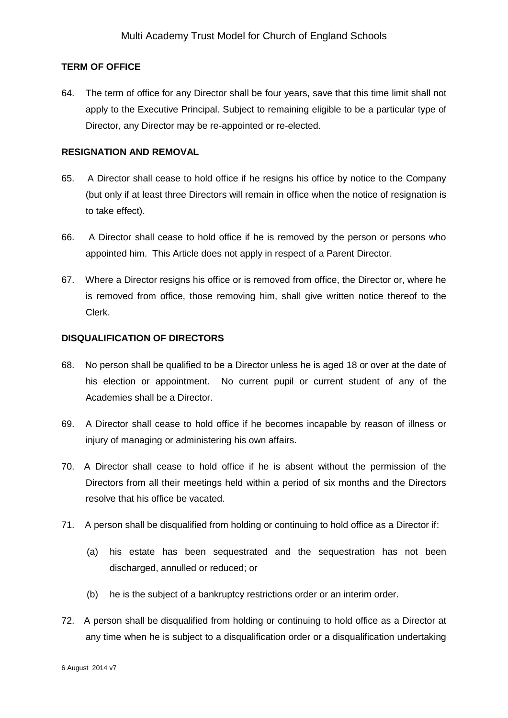### **TERM OF OFFICE**

64. The term of office for any Director shall be four years, save that this time limit shall not apply to the Executive Principal. Subject to remaining eligible to be a particular type of Director, any Director may be re-appointed or re-elected.

### **RESIGNATION AND REMOVAL**

- 65. A Director shall cease to hold office if he resigns his office by notice to the Company (but only if at least three Directors will remain in office when the notice of resignation is to take effect).
- 66. A Director shall cease to hold office if he is removed by the person or persons who appointed him. This Article does not apply in respect of a Parent Director.
- 67. Where a Director resigns his office or is removed from office, the Director or, where he is removed from office, those removing him, shall give written notice thereof to the Clerk.

### **DISQUALIFICATION OF DIRECTORS**

- 68. No person shall be qualified to be a Director unless he is aged 18 or over at the date of his election or appointment. No current pupil or current student of any of the Academies shall be a Director.
- 69. A Director shall cease to hold office if he becomes incapable by reason of illness or injury of managing or administering his own affairs.
- 70. A Director shall cease to hold office if he is absent without the permission of the Directors from all their meetings held within a period of six months and the Directors resolve that his office be vacated.
- 71. A person shall be disqualified from holding or continuing to hold office as a Director if:
	- (a) his estate has been sequestrated and the sequestration has not been discharged, annulled or reduced; or
	- (b) he is the subject of a bankruptcy restrictions order or an interim order.
- 72. A person shall be disqualified from holding or continuing to hold office as a Director at any time when he is subject to a disqualification order or a disqualification undertaking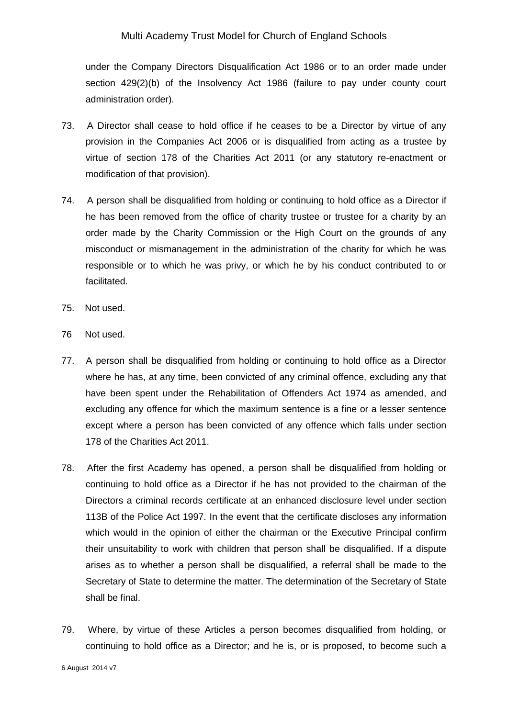under the Company Directors Disqualification Act 1986 or to an order made under section 429(2)(b) of the Insolvency Act 1986 (failure to pay under county court administration order).

- 73. A Director shall cease to hold office if he ceases to be a Director by virtue of any provision in the Companies Act 2006 or is disqualified from acting as a trustee by virtue of section 178 of the Charities Act 2011 (or any statutory re-enactment or modification of that provision).
- 74. A person shall be disqualified from holding or continuing to hold office as a Director if he has been removed from the office of charity trustee or trustee for a charity by an order made by the Charity Commission or the High Court on the grounds of any misconduct or mismanagement in the administration of the charity for which he was responsible or to which he was privy, or which he by his conduct contributed to or facilitated.
- 75. Not used.
- 76 Not used.
- 77. A person shall be disqualified from holding or continuing to hold office as a Director where he has, at any time, been convicted of any criminal offence, excluding any that have been spent under the Rehabilitation of Offenders Act 1974 as amended, and excluding any offence for which the maximum sentence is a fine or a lesser sentence except where a person has been convicted of any offence which falls under section 178 of the Charities Act 2011.
- 78. After the first Academy has opened, a person shall be disqualified from holding or continuing to hold office as a Director if he has not provided to the chairman of the Directors a criminal records certificate at an enhanced disclosure level under section 113B of the Police Act 1997. In the event that the certificate discloses any information which would in the opinion of either the chairman or the Executive Principal confirm their unsuitability to work with children that person shall be disqualified. If a dispute arises as to whether a person shall be disqualified, a referral shall be made to the Secretary of State to determine the matter. The determination of the Secretary of State shall be final.
- 79. Where, by virtue of these Articles a person becomes disqualified from holding, or continuing to hold office as a Director; and he is, or is proposed, to become such a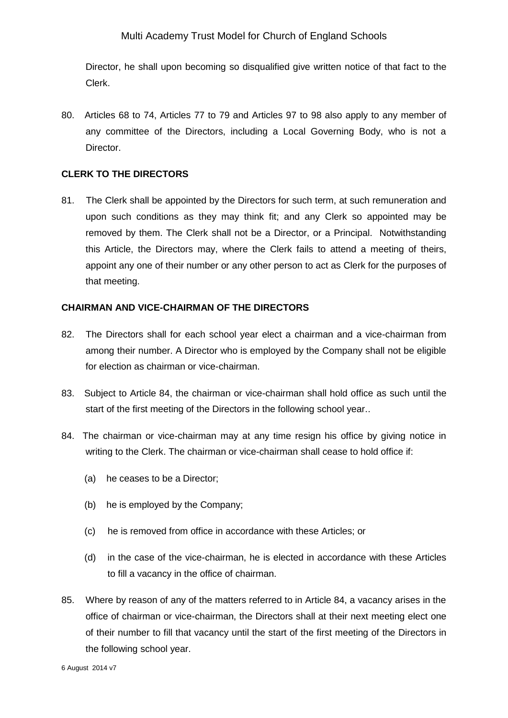Director, he shall upon becoming so disqualified give written notice of that fact to the Clerk.

80. Articles 68 to 74, Articles 77 to 79 and Articles 97 to 98 also apply to any member of any committee of the Directors, including a Local Governing Body, who is not a Director.

# **CLERK TO THE DIRECTORS**

81. The Clerk shall be appointed by the Directors for such term, at such remuneration and upon such conditions as they may think fit; and any Clerk so appointed may be removed by them. The Clerk shall not be a Director, or a Principal. Notwithstanding this Article, the Directors may, where the Clerk fails to attend a meeting of theirs, appoint any one of their number or any other person to act as Clerk for the purposes of that meeting.

### **CHAIRMAN AND VICE-CHAIRMAN OF THE DIRECTORS**

- 82. The Directors shall for each school year elect a chairman and a vice-chairman from among their number. A Director who is employed by the Company shall not be eligible for election as chairman or vice-chairman.
- 83. Subject to Article 84, the chairman or vice-chairman shall hold office as such until the start of the first meeting of the Directors in the following school year..
- 84. The chairman or vice-chairman may at any time resign his office by giving notice in writing to the Clerk. The chairman or vice-chairman shall cease to hold office if:
	- (a) he ceases to be a Director;
	- (b) he is employed by the Company;
	- (c) he is removed from office in accordance with these Articles; or
	- (d) in the case of the vice-chairman, he is elected in accordance with these Articles to fill a vacancy in the office of chairman.
- 85. Where by reason of any of the matters referred to in Article 84, a vacancy arises in the office of chairman or vice-chairman, the Directors shall at their next meeting elect one of their number to fill that vacancy until the start of the first meeting of the Directors in the following school year.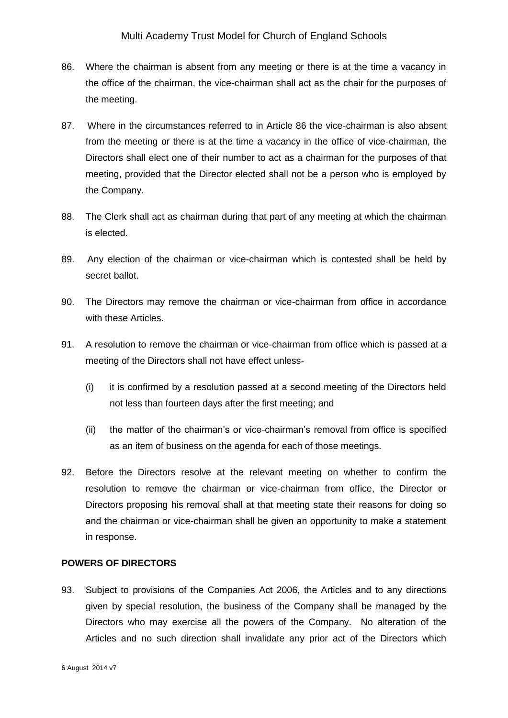- 86. Where the chairman is absent from any meeting or there is at the time a vacancy in the office of the chairman, the vice-chairman shall act as the chair for the purposes of the meeting.
- 87. Where in the circumstances referred to in Article 86 the vice-chairman is also absent from the meeting or there is at the time a vacancy in the office of vice-chairman, the Directors shall elect one of their number to act as a chairman for the purposes of that meeting, provided that the Director elected shall not be a person who is employed by the Company.
- 88. The Clerk shall act as chairman during that part of any meeting at which the chairman is elected.
- 89. Any election of the chairman or vice-chairman which is contested shall be held by secret ballot.
- 90. The Directors may remove the chairman or vice-chairman from office in accordance with these Articles.
- 91. A resolution to remove the chairman or vice-chairman from office which is passed at a meeting of the Directors shall not have effect unless-
	- (i) it is confirmed by a resolution passed at a second meeting of the Directors held not less than fourteen days after the first meeting; and
	- (ii) the matter of the chairman's or vice-chairman's removal from office is specified as an item of business on the agenda for each of those meetings.
- 92. Before the Directors resolve at the relevant meeting on whether to confirm the resolution to remove the chairman or vice-chairman from office, the Director or Directors proposing his removal shall at that meeting state their reasons for doing so and the chairman or vice-chairman shall be given an opportunity to make a statement in response.

# **POWERS OF DIRECTORS**

93. Subject to provisions of the Companies Act 2006, the Articles and to any directions given by special resolution, the business of the Company shall be managed by the Directors who may exercise all the powers of the Company. No alteration of the Articles and no such direction shall invalidate any prior act of the Directors which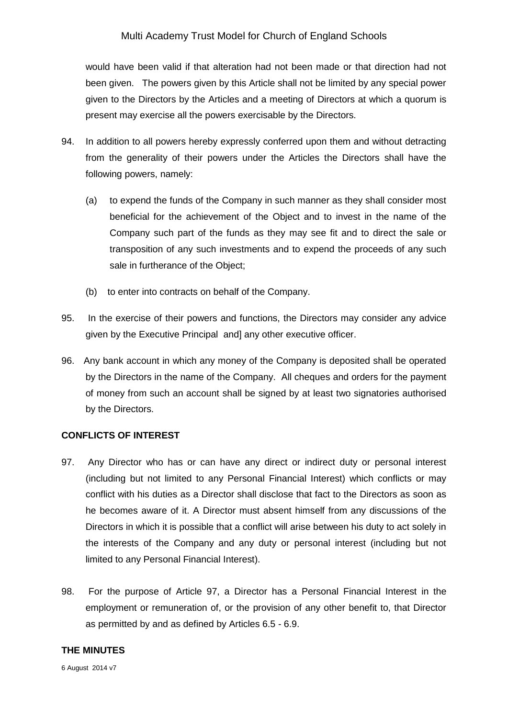would have been valid if that alteration had not been made or that direction had not been given. The powers given by this Article shall not be limited by any special power given to the Directors by the Articles and a meeting of Directors at which a quorum is present may exercise all the powers exercisable by the Directors.

- 94. In addition to all powers hereby expressly conferred upon them and without detracting from the generality of their powers under the Articles the Directors shall have the following powers, namely:
	- (a) to expend the funds of the Company in such manner as they shall consider most beneficial for the achievement of the Object and to invest in the name of the Company such part of the funds as they may see fit and to direct the sale or transposition of any such investments and to expend the proceeds of any such sale in furtherance of the Object;
	- (b) to enter into contracts on behalf of the Company.
- 95. In the exercise of their powers and functions, the Directors may consider any advice given by the Executive Principal and] any other executive officer.
- 96. Any bank account in which any money of the Company is deposited shall be operated by the Directors in the name of the Company. All cheques and orders for the payment of money from such an account shall be signed by at least two signatories authorised by the Directors.

#### **CONFLICTS OF INTEREST**

- 97. Any Director who has or can have any direct or indirect duty or personal interest (including but not limited to any Personal Financial Interest) which conflicts or may conflict with his duties as a Director shall disclose that fact to the Directors as soon as he becomes aware of it. A Director must absent himself from any discussions of the Directors in which it is possible that a conflict will arise between his duty to act solely in the interests of the Company and any duty or personal interest (including but not limited to any Personal Financial Interest).
- 98. For the purpose of Article 97, a Director has a Personal Financial Interest in the employment or remuneration of, or the provision of any other benefit to, that Director as permitted by and as defined by Articles 6.5 - 6.9.

## **THE MINUTES**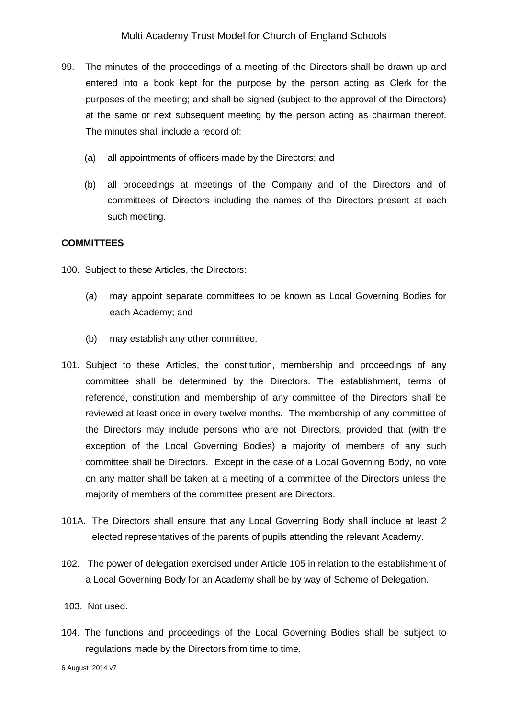- 99. The minutes of the proceedings of a meeting of the Directors shall be drawn up and entered into a book kept for the purpose by the person acting as Clerk for the purposes of the meeting; and shall be signed (subject to the approval of the Directors) at the same or next subsequent meeting by the person acting as chairman thereof. The minutes shall include a record of:
	- (a) all appointments of officers made by the Directors; and
	- (b) all proceedings at meetings of the Company and of the Directors and of committees of Directors including the names of the Directors present at each such meeting.

### **COMMITTEES**

100. Subject to these Articles, the Directors:

- (a) may appoint separate committees to be known as Local Governing Bodies for each Academy; and
- (b) may establish any other committee.
- 101. Subject to these Articles, the constitution, membership and proceedings of any committee shall be determined by the Directors. The establishment, terms of reference, constitution and membership of any committee of the Directors shall be reviewed at least once in every twelve months. The membership of any committee of the Directors may include persons who are not Directors, provided that (with the exception of the Local Governing Bodies) a majority of members of any such committee shall be Directors. Except in the case of a Local Governing Body, no vote on any matter shall be taken at a meeting of a committee of the Directors unless the majority of members of the committee present are Directors.
- 101A. The Directors shall ensure that any Local Governing Body shall include at least 2 elected representatives of the parents of pupils attending the relevant Academy.
- 102. The power of delegation exercised under Article 105 in relation to the establishment of a Local Governing Body for an Academy shall be by way of Scheme of Delegation.
- 103. Not used.
- 104. The functions and proceedings of the Local Governing Bodies shall be subject to regulations made by the Directors from time to time.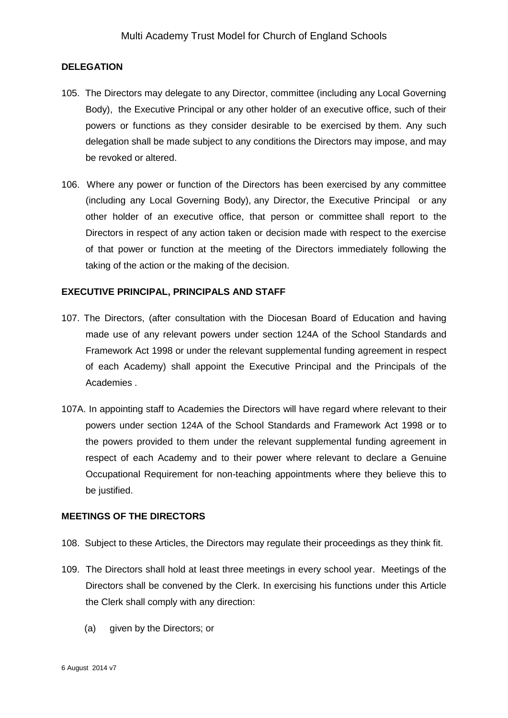### **DELEGATION**

- 105. The Directors may delegate to any Director, committee (including any Local Governing Body), the Executive Principal or any other holder of an executive office, such of their powers or functions as they consider desirable to be exercised by them. Any such delegation shall be made subject to any conditions the Directors may impose, and may be revoked or altered.
- 106. Where any power or function of the Directors has been exercised by any committee (including any Local Governing Body), any Director, the Executive Principal or any other holder of an executive office, that person or committee shall report to the Directors in respect of any action taken or decision made with respect to the exercise of that power or function at the meeting of the Directors immediately following the taking of the action or the making of the decision.

### **EXECUTIVE PRINCIPAL, PRINCIPALS AND STAFF**

- 107. The Directors, (after consultation with the Diocesan Board of Education and having made use of any relevant powers under section 124A of the School Standards and Framework Act 1998 or under the relevant supplemental funding agreement in respect of each Academy) shall appoint the Executive Principal and the Principals of the Academies .
- 107A. In appointing staff to Academies the Directors will have regard where relevant to their powers under section 124A of the School Standards and Framework Act 1998 or to the powers provided to them under the relevant supplemental funding agreement in respect of each Academy and to their power where relevant to declare a Genuine Occupational Requirement for non-teaching appointments where they believe this to be justified.

#### **MEETINGS OF THE DIRECTORS**

- 108. Subject to these Articles, the Directors may regulate their proceedings as they think fit.
- 109. The Directors shall hold at least three meetings in every school year. Meetings of the Directors shall be convened by the Clerk. In exercising his functions under this Article the Clerk shall comply with any direction:
	- (a) given by the Directors; or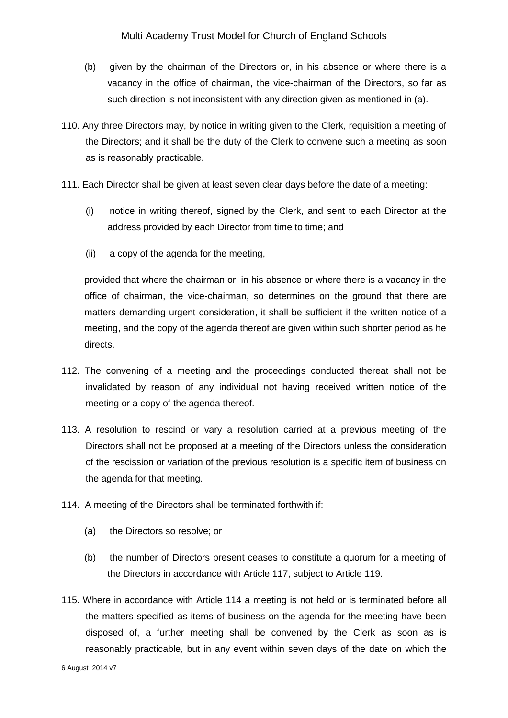- (b) given by the chairman of the Directors or, in his absence or where there is a vacancy in the office of chairman, the vice-chairman of the Directors, so far as such direction is not inconsistent with any direction given as mentioned in (a).
- 110. Any three Directors may, by notice in writing given to the Clerk, requisition a meeting of the Directors; and it shall be the duty of the Clerk to convene such a meeting as soon as is reasonably practicable.
- 111. Each Director shall be given at least seven clear days before the date of a meeting:
	- (i) notice in writing thereof, signed by the Clerk, and sent to each Director at the address provided by each Director from time to time; and
	- (ii) a copy of the agenda for the meeting,

provided that where the chairman or, in his absence or where there is a vacancy in the office of chairman, the vice-chairman, so determines on the ground that there are matters demanding urgent consideration, it shall be sufficient if the written notice of a meeting, and the copy of the agenda thereof are given within such shorter period as he directs.

- 112. The convening of a meeting and the proceedings conducted thereat shall not be invalidated by reason of any individual not having received written notice of the meeting or a copy of the agenda thereof.
- 113. A resolution to rescind or vary a resolution carried at a previous meeting of the Directors shall not be proposed at a meeting of the Directors unless the consideration of the rescission or variation of the previous resolution is a specific item of business on the agenda for that meeting.
- 114. A meeting of the Directors shall be terminated forthwith if:
	- (a) the Directors so resolve; or
	- (b) the number of Directors present ceases to constitute a quorum for a meeting of the Directors in accordance with Article 117, subject to Article 119.
- 115. Where in accordance with Article 114 a meeting is not held or is terminated before all the matters specified as items of business on the agenda for the meeting have been disposed of, a further meeting shall be convened by the Clerk as soon as is reasonably practicable, but in any event within seven days of the date on which the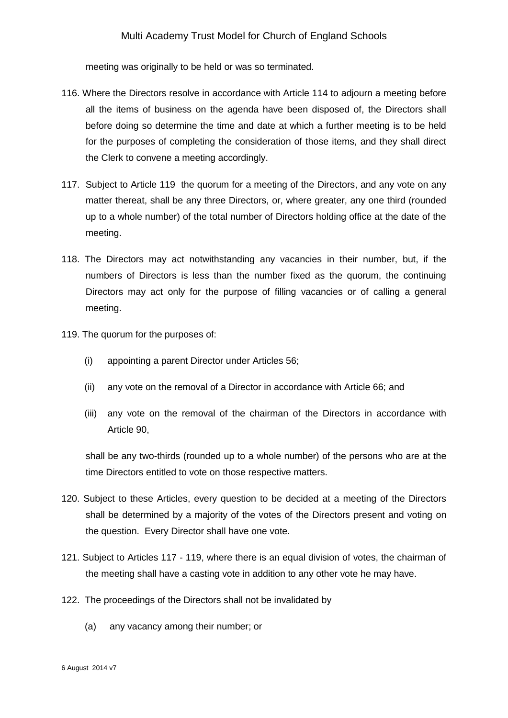meeting was originally to be held or was so terminated.

- 116. Where the Directors resolve in accordance with Article 114 to adjourn a meeting before all the items of business on the agenda have been disposed of, the Directors shall before doing so determine the time and date at which a further meeting is to be held for the purposes of completing the consideration of those items, and they shall direct the Clerk to convene a meeting accordingly.
- 117. Subject to Article 119 the quorum for a meeting of the Directors, and any vote on any matter thereat, shall be any three Directors, or, where greater, any one third (rounded up to a whole number) of the total number of Directors holding office at the date of the meeting.
- 118. The Directors may act notwithstanding any vacancies in their number, but, if the numbers of Directors is less than the number fixed as the quorum, the continuing Directors may act only for the purpose of filling vacancies or of calling a general meeting.
- 119. The quorum for the purposes of:
	- (i) appointing a parent Director under Articles 56;
	- (ii) any vote on the removal of a Director in accordance with Article 66; and
	- (iii) any vote on the removal of the chairman of the Directors in accordance with Article 90,

shall be any two-thirds (rounded up to a whole number) of the persons who are at the time Directors entitled to vote on those respective matters.

- 120. Subject to these Articles, every question to be decided at a meeting of the Directors shall be determined by a majority of the votes of the Directors present and voting on the question. Every Director shall have one vote.
- 121. Subject to Articles 117 119, where there is an equal division of votes, the chairman of the meeting shall have a casting vote in addition to any other vote he may have.
- 122. The proceedings of the Directors shall not be invalidated by
	- (a) any vacancy among their number; or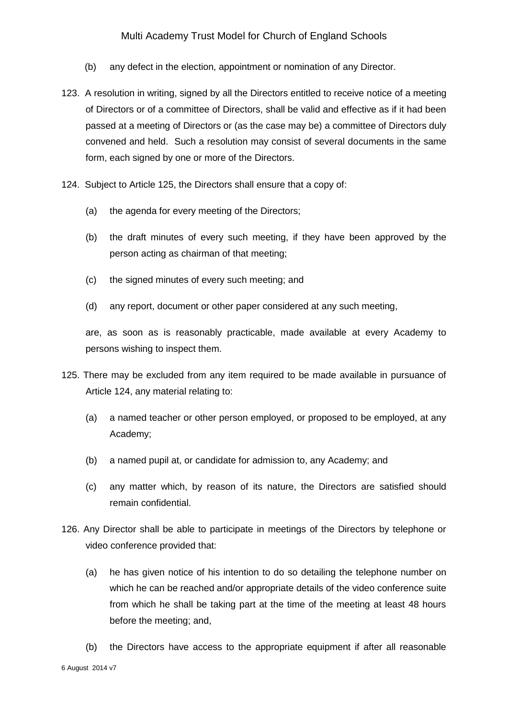- (b) any defect in the election, appointment or nomination of any Director.
- 123. A resolution in writing, signed by all the Directors entitled to receive notice of a meeting of Directors or of a committee of Directors, shall be valid and effective as if it had been passed at a meeting of Directors or (as the case may be) a committee of Directors duly convened and held. Such a resolution may consist of several documents in the same form, each signed by one or more of the Directors.
- 124. Subject to Article 125, the Directors shall ensure that a copy of:
	- (a) the agenda for every meeting of the Directors;
	- (b) the draft minutes of every such meeting, if they have been approved by the person acting as chairman of that meeting;
	- (c) the signed minutes of every such meeting; and
	- (d) any report, document or other paper considered at any such meeting,

are, as soon as is reasonably practicable, made available at every Academy to persons wishing to inspect them.

- 125. There may be excluded from any item required to be made available in pursuance of Article 124, any material relating to:
	- (a) a named teacher or other person employed, or proposed to be employed, at any Academy;
	- (b) a named pupil at, or candidate for admission to, any Academy; and
	- (c) any matter which, by reason of its nature, the Directors are satisfied should remain confidential.
- 126. Any Director shall be able to participate in meetings of the Directors by telephone or video conference provided that:
	- (a) he has given notice of his intention to do so detailing the telephone number on which he can be reached and/or appropriate details of the video conference suite from which he shall be taking part at the time of the meeting at least 48 hours before the meeting; and,
- 6 August 2014 v7 (b) the Directors have access to the appropriate equipment if after all reasonable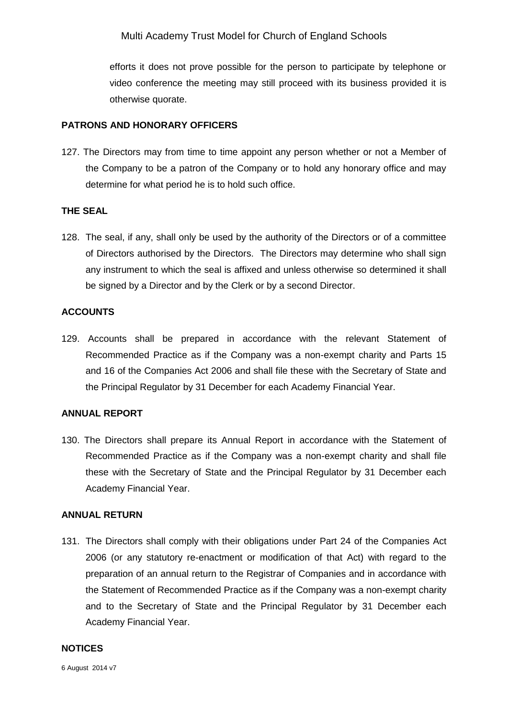efforts it does not prove possible for the person to participate by telephone or video conference the meeting may still proceed with its business provided it is otherwise quorate.

### **PATRONS AND HONORARY OFFICERS**

127. The Directors may from time to time appoint any person whether or not a Member of the Company to be a patron of the Company or to hold any honorary office and may determine for what period he is to hold such office.

### **THE SEAL**

128. The seal, if any, shall only be used by the authority of the Directors or of a committee of Directors authorised by the Directors. The Directors may determine who shall sign any instrument to which the seal is affixed and unless otherwise so determined it shall be signed by a Director and by the Clerk or by a second Director.

### **ACCOUNTS**

129. Accounts shall be prepared in accordance with the relevant Statement of Recommended Practice as if the Company was a non-exempt charity and Parts 15 and 16 of the Companies Act 2006 and shall file these with the Secretary of State and the Principal Regulator by 31 December for each Academy Financial Year.

### **ANNUAL REPORT**

130. The Directors shall prepare its Annual Report in accordance with the Statement of Recommended Practice as if the Company was a non-exempt charity and shall file these with the Secretary of State and the Principal Regulator by 31 December each Academy Financial Year.

### **ANNUAL RETURN**

131. The Directors shall comply with their obligations under Part 24 of the Companies Act 2006 (or any statutory re-enactment or modification of that Act) with regard to the preparation of an annual return to the Registrar of Companies and in accordance with the Statement of Recommended Practice as if the Company was a non-exempt charity and to the Secretary of State and the Principal Regulator by 31 December each Academy Financial Year.

### **NOTICES**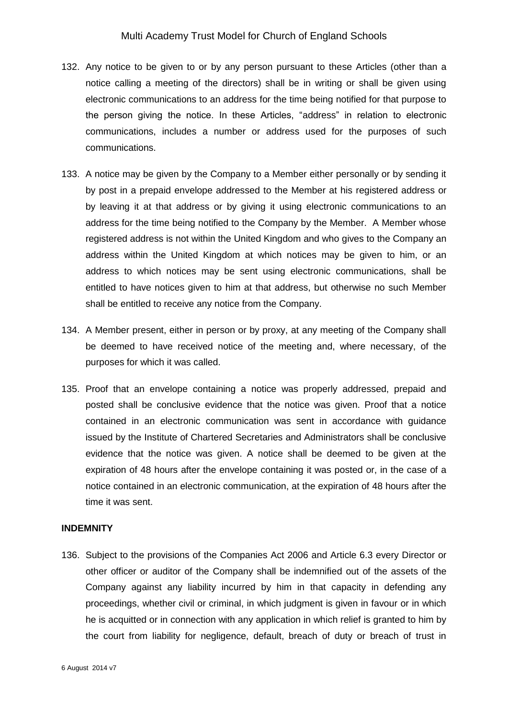- 132. Any notice to be given to or by any person pursuant to these Articles (other than a notice calling a meeting of the directors) shall be in writing or shall be given using electronic communications to an address for the time being notified for that purpose to the person giving the notice. In these Articles, "address" in relation to electronic communications, includes a number or address used for the purposes of such communications.
- 133. A notice may be given by the Company to a Member either personally or by sending it by post in a prepaid envelope addressed to the Member at his registered address or by leaving it at that address or by giving it using electronic communications to an address for the time being notified to the Company by the Member. A Member whose registered address is not within the United Kingdom and who gives to the Company an address within the United Kingdom at which notices may be given to him, or an address to which notices may be sent using electronic communications, shall be entitled to have notices given to him at that address, but otherwise no such Member shall be entitled to receive any notice from the Company.
- 134. A Member present, either in person or by proxy, at any meeting of the Company shall be deemed to have received notice of the meeting and, where necessary, of the purposes for which it was called.
- 135. Proof that an envelope containing a notice was properly addressed, prepaid and posted shall be conclusive evidence that the notice was given. Proof that a notice contained in an electronic communication was sent in accordance with guidance issued by the Institute of Chartered Secretaries and Administrators shall be conclusive evidence that the notice was given. A notice shall be deemed to be given at the expiration of 48 hours after the envelope containing it was posted or, in the case of a notice contained in an electronic communication, at the expiration of 48 hours after the time it was sent.

#### **INDEMNITY**

136. Subject to the provisions of the Companies Act 2006 and Article 6.3 every Director or other officer or auditor of the Company shall be indemnified out of the assets of the Company against any liability incurred by him in that capacity in defending any proceedings, whether civil or criminal, in which judgment is given in favour or in which he is acquitted or in connection with any application in which relief is granted to him by the court from liability for negligence, default, breach of duty or breach of trust in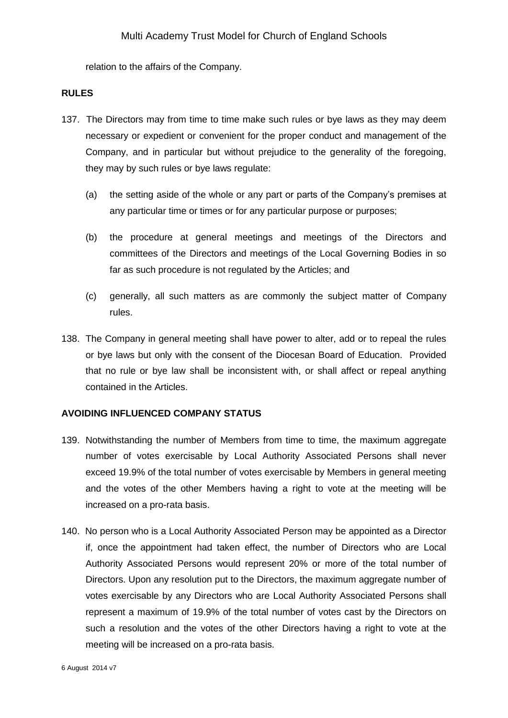relation to the affairs of the Company.

#### **RULES**

- 137. The Directors may from time to time make such rules or bye laws as they may deem necessary or expedient or convenient for the proper conduct and management of the Company, and in particular but without prejudice to the generality of the foregoing, they may by such rules or bye laws regulate:
	- (a) the setting aside of the whole or any part or parts of the Company's premises at any particular time or times or for any particular purpose or purposes;
	- (b) the procedure at general meetings and meetings of the Directors and committees of the Directors and meetings of the Local Governing Bodies in so far as such procedure is not regulated by the Articles; and
	- (c) generally, all such matters as are commonly the subject matter of Company rules.
- 138. The Company in general meeting shall have power to alter, add or to repeal the rules or bye laws but only with the consent of the Diocesan Board of Education. Provided that no rule or bye law shall be inconsistent with, or shall affect or repeal anything contained in the Articles.

### **AVOIDING INFLUENCED COMPANY STATUS**

- 139. Notwithstanding the number of Members from time to time, the maximum aggregate number of votes exercisable by Local Authority Associated Persons shall never exceed 19.9% of the total number of votes exercisable by Members in general meeting and the votes of the other Members having a right to vote at the meeting will be increased on a pro-rata basis.
- 140. No person who is a Local Authority Associated Person may be appointed as a Director if, once the appointment had taken effect, the number of Directors who are Local Authority Associated Persons would represent 20% or more of the total number of Directors. Upon any resolution put to the Directors, the maximum aggregate number of votes exercisable by any Directors who are Local Authority Associated Persons shall represent a maximum of 19.9% of the total number of votes cast by the Directors on such a resolution and the votes of the other Directors having a right to vote at the meeting will be increased on a pro-rata basis.